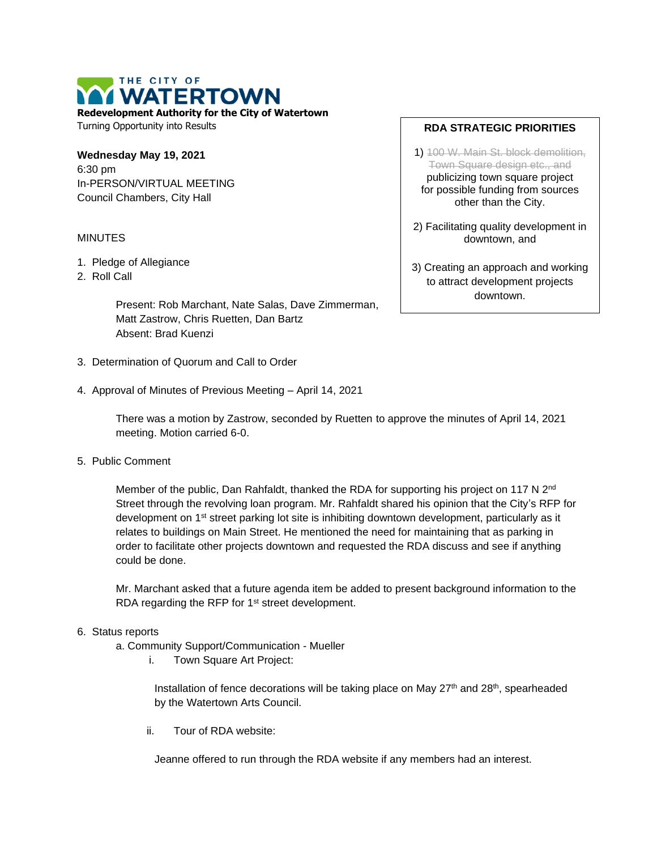THE CITY OF VATERTOWN

**Redevelopment Authority for the City of Watertown** Turning Opportunity into Results

**Wednesday May 19, 2021** 6:30 pm In-PERSON/VIRTUAL MEETING Council Chambers, City Hall

# MINUTES

- 1. Pledge of Allegiance
- 2. Roll Call

Present: Rob Marchant, Nate Salas, Dave Zimmerman, Matt Zastrow, Chris Ruetten, Dan Bartz Absent: Brad Kuenzi

- 3. Determination of Quorum and Call to Order
- 4. Approval of Minutes of Previous Meeting April 14, 2021

There was a motion by Zastrow, seconded by Ruetten to approve the minutes of April 14, 2021 meeting. Motion carried 6-0.

5. Public Comment

Member of the public, Dan Rahfaldt, thanked the RDA for supporting his project on 117 N 2<sup>nd</sup> Street through the revolving loan program. Mr. Rahfaldt shared his opinion that the City's RFP for development on 1<sup>st</sup> street parking lot site is inhibiting downtown development, particularly as it relates to buildings on Main Street. He mentioned the need for maintaining that as parking in order to facilitate other projects downtown and requested the RDA discuss and see if anything could be done.

Mr. Marchant asked that a future agenda item be added to present background information to the RDA regarding the RFP for 1<sup>st</sup> street development.

## 6. Status reports

- a. Community Support/Communication Mueller
	- i. Town Square Art Project:

Installation of fence decorations will be taking place on May 27<sup>th</sup> and 28<sup>th</sup>, spearheaded by the Watertown Arts Council.

ii. Tour of RDA website:

Jeanne offered to run through the RDA website if any members had an interest.

## **RDA STRATEGIC PRIORITIES**

1) 100 W. Main St. block demolition, Town Square design etc., and publicizing town square project for possible funding from sources other than the City.

2) Facilitating quality development in downtown, and

3) Creating an approach and working to attract development projects downtown.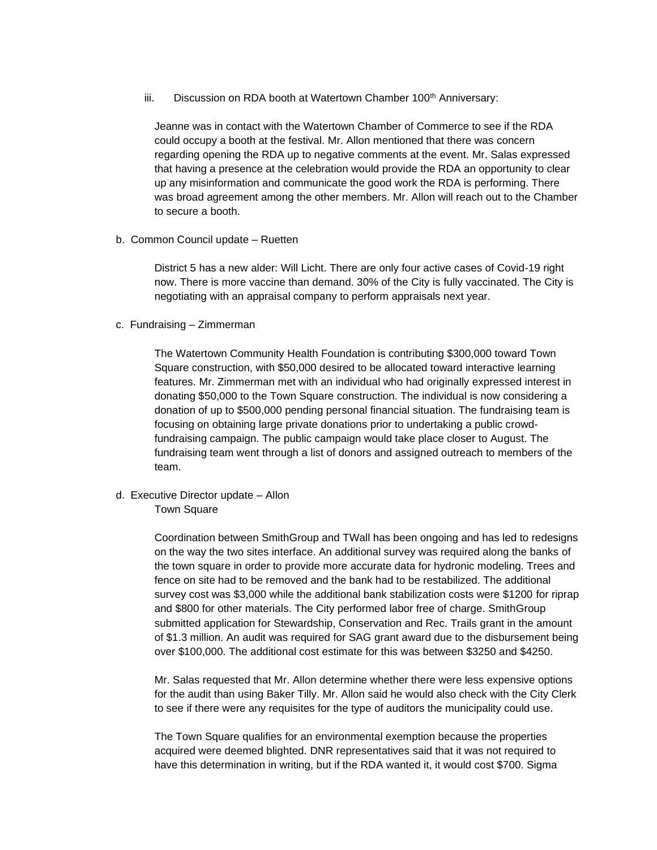iii. Discussion on RDA booth at Watertown Chamber 100<sup>th</sup> Anniversary:

Jeanne was in contact with the Watertown Chamber of Commerce to see if the RDA could occupy a booth at the festival. Mr. Allon mentioned that there was concern regarding opening the RDA up to negative comments at the event. Mr. Salas expressed that having a presence at the celebration would provide the RDA an opportunity to clear up any misinformation and communicate the good work the RDA is performing. There was broad agreement among the other members. Mr. Allon will reach out to the Chamber to secure a booth.

b. Common Council update – Ruetten

District 5 has a new alder: Will Licht. There are only four active cases of Covid-19 right now. There is more vaccine than demand. 30% of the City is fully vaccinated. The City is negotiating with an appraisal company to perform appraisals next year.

c. Fundraising – Zimmerman

The Watertown Community Health Foundation is contributing \$300,000 toward Town Square construction, with \$50,000 desired to be allocated toward interactive learning features. Mr. Zimmerman met with an individual who had originally expressed interest in donating \$50,000 to the Town Square construction. The individual is now considering a donation of up to \$500,000 pending personal financial situation. The fundraising team is focusing on obtaining large private donations prior to undertaking a public crowdfundraising campaign. The public campaign would take place closer to August. The fundraising team went through a list of donors and assigned outreach to members of the team.

d. Executive Director update – Allon

Town Square

Coordination between SmithGroup and TWall has been ongoing and has led to redesigns on the way the two sites interface. An additional survey was required along the banks of the town square in order to provide more accurate data for hydronic modeling. Trees and fence on site had to be removed and the bank had to be restabilized. The additional survey cost was \$3,000 while the additional bank stabilization costs were \$1200 for riprap and \$800 for other materials. The City performed labor free of charge. SmithGroup submitted application for Stewardship, Conservation and Rec. Trails grant in the amount of \$1.3 million. An audit was required for SAG grant award due to the disbursement being over \$100,000. The additional cost estimate for this was between \$3250 and \$4250.

Mr. Salas requested that Mr. Allon determine whether there were less expensive options for the audit than using Baker Tilly. Mr. Allon said he would also check with the City Clerk to see if there were any requisites for the type of auditors the municipality could use.

The Town Square qualifies for an environmental exemption because the properties acquired were deemed blighted. DNR representatives said that it was not required to have this determination in writing, but if the RDA wanted it, it would cost \$700. Sigma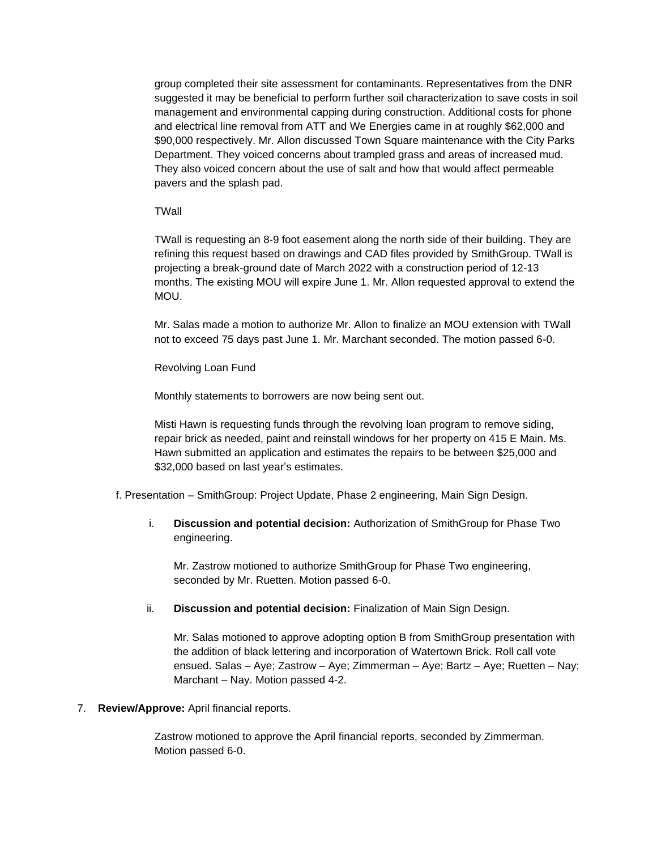group completed their site assessment for contaminants. Representatives from the DNR suggested it may be beneficial to perform further soil characterization to save costs in soil management and environmental capping during construction. Additional costs for phone and electrical line removal from ATT and We Energies came in at roughly \$62,000 and \$90,000 respectively. Mr. Allon discussed Town Square maintenance with the City Parks Department. They voiced concerns about trampled grass and areas of increased mud. They also voiced concern about the use of salt and how that would affect permeable pavers and the splash pad.

### **TWall**

TWall is requesting an 8-9 foot easement along the north side of their building. They are refining this request based on drawings and CAD files provided by SmithGroup. TWall is projecting a break-ground date of March 2022 with a construction period of 12-13 months. The existing MOU will expire June 1. Mr. Allon requested approval to extend the MOU.

Mr. Salas made a motion to authorize Mr. Allon to finalize an MOU extension with TWall not to exceed 75 days past June 1. Mr. Marchant seconded. The motion passed 6-0.

Revolving Loan Fund

Monthly statements to borrowers are now being sent out.

Misti Hawn is requesting funds through the revolving loan program to remove siding, repair brick as needed, paint and reinstall windows for her property on 415 E Main. Ms. Hawn submitted an application and estimates the repairs to be between \$25,000 and \$32,000 based on last year's estimates.

- f. Presentation SmithGroup: Project Update, Phase 2 engineering, Main Sign Design.
	- i. **Discussion and potential decision:** Authorization of SmithGroup for Phase Two engineering.

Mr. Zastrow motioned to authorize SmithGroup for Phase Two engineering, seconded by Mr. Ruetten. Motion passed 6-0.

ii. **Discussion and potential decision:** Finalization of Main Sign Design.

Mr. Salas motioned to approve adopting option B from SmithGroup presentation with the addition of black lettering and incorporation of Watertown Brick. Roll call vote ensued. Salas – Aye; Zastrow – Aye; Zimmerman – Aye; Bartz – Aye; Ruetten – Nay; Marchant – Nay. Motion passed 4-2.

## 7. **Review/Approve:** April financial reports.

Zastrow motioned to approve the April financial reports, seconded by Zimmerman. Motion passed 6-0.